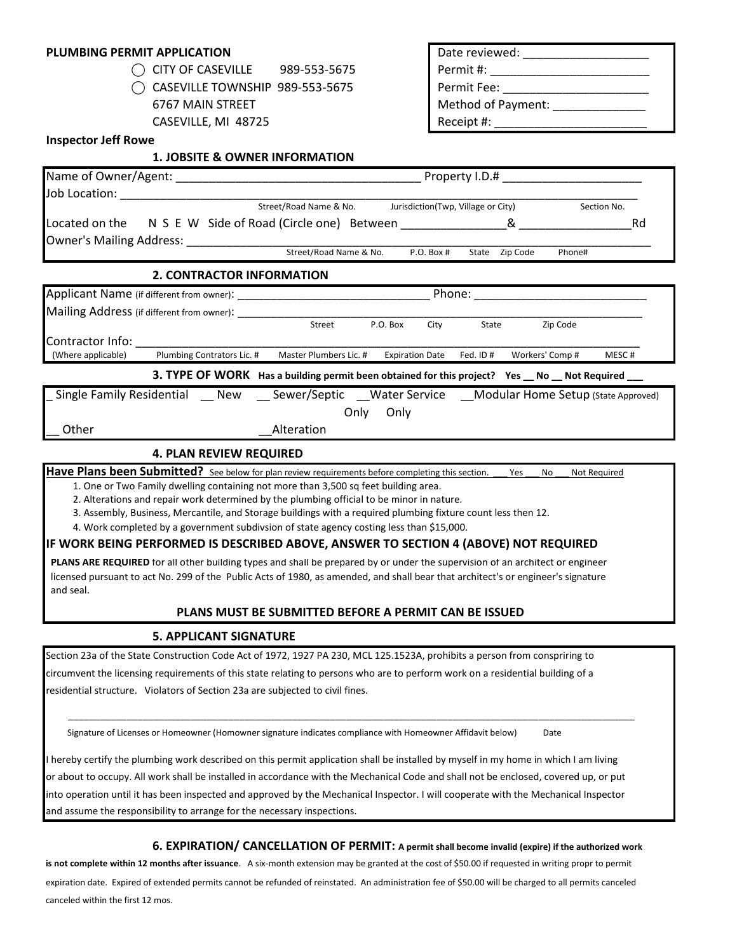# **PLUMBING PERMIT APPLICATION**

| $\bigcirc$ CITY OF CASEVILLE | 989-553-5675 |
|------------------------------|--------------|
|                              |              |

**1. JOBSITE & OWNER INFORMATION**

| MIT APPLICATION                            | Date reviewed:     |
|--------------------------------------------|--------------------|
| $\bigcap$ CITY OF CASEVILLE 989-553-5675   | l  Permit #:       |
| $\bigcirc$ caseville township 989-553-5675 | l Permit Fee:      |
| 6767 MAIN STREET                           | Method of Payment: |
| CASEVILLE, MI 48725                        | Receipt #:         |

#### **Inspector Jeff Rowe**

| Street/Road Name & No. |                                                                |                                                          | Section No.                                                                                                                                                                                                                                                                                                                                      |  |  |
|------------------------|----------------------------------------------------------------|----------------------------------------------------------|--------------------------------------------------------------------------------------------------------------------------------------------------------------------------------------------------------------------------------------------------------------------------------------------------------------------------------------------------|--|--|
|                        |                                                                | &                                                        | Rd                                                                                                                                                                                                                                                                                                                                               |  |  |
|                        |                                                                |                                                          |                                                                                                                                                                                                                                                                                                                                                  |  |  |
|                        | P.O. Box #                                                     | Zip Code<br>State                                        | Phone#                                                                                                                                                                                                                                                                                                                                           |  |  |
|                        |                                                                |                                                          |                                                                                                                                                                                                                                                                                                                                                  |  |  |
|                        |                                                                |                                                          |                                                                                                                                                                                                                                                                                                                                                  |  |  |
|                        |                                                                |                                                          |                                                                                                                                                                                                                                                                                                                                                  |  |  |
| Street                 | P.O. Box<br>City                                               | State                                                    | Zip Code                                                                                                                                                                                                                                                                                                                                         |  |  |
|                        |                                                                |                                                          |                                                                                                                                                                                                                                                                                                                                                  |  |  |
|                        | <b>Expiration Date</b>                                         | Workers' Comp #<br>Fed. ID#                              | MESC#                                                                                                                                                                                                                                                                                                                                            |  |  |
|                        |                                                                |                                                          |                                                                                                                                                                                                                                                                                                                                                  |  |  |
|                        |                                                                |                                                          |                                                                                                                                                                                                                                                                                                                                                  |  |  |
|                        | Only                                                           |                                                          |                                                                                                                                                                                                                                                                                                                                                  |  |  |
| Alteration             |                                                                |                                                          |                                                                                                                                                                                                                                                                                                                                                  |  |  |
|                        | <b>2. CONTRACTOR INFORMATION</b><br>Plumbing Contrators Lic. # | Street/Road Name & No.<br>Master Plumbers Lic. #<br>Only | Jurisdiction(Twp, Village or City)<br>Located on the N S E W Side of Road (Circle one) Between ________________<br>Phone:<br>3. TYPE OF WORK Has a building permit been obtained for this project? Yes __ No __ Not Required ___<br>Single Family Residential ___ New ____ Sewer/Septic ___Water Service ____Modular Home Setup (state Approved) |  |  |

## **4. PLAN REVIEW REQUIRED**

Have Plans been Submitted? See below for plan review requirements before completing this section. Yes No Not Required

1. One or Two Family dwelling containing not more than 3,500 sq feet building area.

2. Alterations and repair work determined by the plumbing official to be minor in nature.

3. Assembly, Business, Mercantile, and Storage buildings with a required plumbing fixture count less then 12.

4. Work completed by a government subdivsion of state agency costing less than \$15,000.

#### **IF WORK BEING PERFORMED IS DESCRIBED ABOVE, ANSWER TO SECTION 4 (ABOVE) NOT REQUIRED**

 **PLANS ARE REQUIRED** for all other building types and shall be prepared by or under the supervision of an architect or engineer licensed pursuant to act No. 299 of the Public Acts of 1980, as amended, and shall bear that architect's or engineer's signature and seal.

#### **PLANS MUST BE SUBMITTED BEFORE A PERMIT CAN BE ISSUED**

## **5. APPLICANT SIGNATURE**

Section 23a of the State Construction Code Act of 1972, 1927 PA 230, MCL 125.1523A, prohibits a person from conspriring to circumvent the licensing requirements of this state relating to persons who are to perform work on a residential building of a residential structure. Violators of Section 23a are subjected to civil fines.

Signature of Licenses or Homeowner (Homowner signature indicates compliance with Homeowner Affidavit below) Date

I hereby certify the plumbing work described on this permit application shall be installed by myself in my home in which I am living or about to occupy. All work shall be installed in accordance with the Mechanical Code and shall not be enclosed, covered up, or put into operation until it has been inspected and approved by the Mechanical Inspector. I will cooperate with the Mechanical Inspector and assume the responsibility to arrange for the necessary inspections.

\_\_\_\_\_\_\_\_\_\_\_\_\_\_\_\_\_\_\_\_\_\_\_\_\_\_\_\_\_\_\_\_\_\_\_\_\_\_\_\_\_\_\_\_\_\_\_\_\_\_\_\_\_\_\_\_\_\_\_\_\_\_\_\_\_\_\_\_\_\_\_\_\_\_\_\_\_\_\_\_\_\_\_\_\_\_\_\_\_\_\_\_\_\_\_\_\_\_\_\_\_\_\_\_\_\_

**6. EXPIRATION/ CANCELLATION OF PERMIT: A permit shall become invalid (expire) if the authorized work**

**is not complete within 12 months after issuance**. A six-month extension may be granted at the cost of \$50.00 if requested in writing propr to permit expiration date. Expired of extended permits cannot be refunded of reinstated. An administration fee of \$50.00 will be charged to all permits canceled canceled within the first 12 mos.